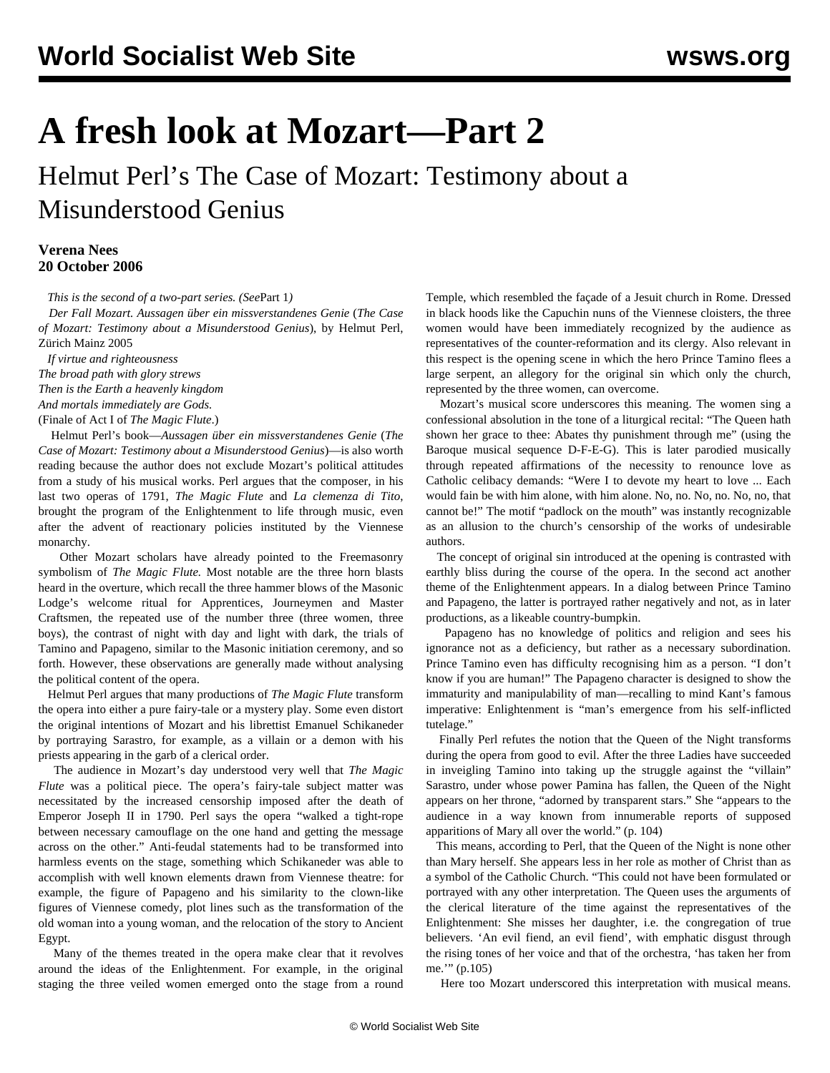## **A fresh look at Mozart—Part 2**

Helmut Perl's The Case of Mozart: Testimony about a Misunderstood Genius

## **Verena Nees 20 October 2006**

*This is the second of a two-part series. (See*[Part 1](moz1-o19.shtml)*)*

 *Der Fall Mozart. Aussagen über ein missverstandenes Genie* (*The Case of Mozart: Testimony about a Misunderstood Genius*), by Helmut Perl, Zürich Mainz 2005

 *If virtue and righteousness The broad path with glory strews Then is the Earth a heavenly kingdom And mortals immediately are Gods.* (Finale of Act I of *The Magic Flute*.)

 Helmut Perl's book—*Aussagen über ein missverstandenes Genie* (*The Case of Mozart: Testimony about a Misunderstood Genius*)—is also worth reading because the author does not exclude Mozart's political attitudes from a study of his musical works. Perl argues that the composer, in his last two operas of 1791, *The Magic Flute* and *La clemenza di Tito*, brought the program of the Enlightenment to life through music, even after the advent of reactionary policies instituted by the Viennese monarchy.

 Other Mozart scholars have already pointed to the Freemasonry symbolism of *The Magic Flute.* Most notable are the three horn blasts heard in the overture, which recall the three hammer blows of the Masonic Lodge's welcome ritual for Apprentices, Journeymen and Master Craftsmen, the repeated use of the number three (three women, three boys), the contrast of night with day and light with dark, the trials of Tamino and Papageno, similar to the Masonic initiation ceremony, and so forth. However, these observations are generally made without analysing the political content of the opera.

 Helmut Perl argues that many productions of *The Magic Flute* transform the opera into either a pure fairy-tale or a mystery play. Some even distort the original intentions of Mozart and his librettist Emanuel Schikaneder by portraying Sarastro, for example, as a villain or a demon with his priests appearing in the garb of a clerical order.

 The audience in Mozart's day understood very well that *The Magic Flute* was a political piece. The opera's fairy-tale subject matter was necessitated by the increased censorship imposed after the death of Emperor Joseph II in 1790. Perl says the opera "walked a tight-rope between necessary camouflage on the one hand and getting the message across on the other." Anti-feudal statements had to be transformed into harmless events on the stage, something which Schikaneder was able to accomplish with well known elements drawn from Viennese theatre: for example, the figure of Papageno and his similarity to the clown-like figures of Viennese comedy, plot lines such as the transformation of the old woman into a young woman, and the relocation of the story to Ancient Egypt.

 Many of the themes treated in the opera make clear that it revolves around the ideas of the Enlightenment. For example, in the original staging the three veiled women emerged onto the stage from a round Temple, which resembled the façade of a Jesuit church in Rome. Dressed in black hoods like the Capuchin nuns of the Viennese cloisters, the three women would have been immediately recognized by the audience as representatives of the counter-reformation and its clergy. Also relevant in this respect is the opening scene in which the hero Prince Tamino flees a large serpent, an allegory for the original sin which only the church, represented by the three women, can overcome.

 Mozart's musical score underscores this meaning. The women sing a confessional absolution in the tone of a liturgical recital: "The Queen hath shown her grace to thee: Abates thy punishment through me" (using the Baroque musical sequence D-F-E-G). This is later parodied musically through repeated affirmations of the necessity to renounce love as Catholic celibacy demands: "Were I to devote my heart to love ... Each would fain be with him alone, with him alone. No, no. No, no. No, no, that cannot be!" The motif "padlock on the mouth" was instantly recognizable as an allusion to the church's censorship of the works of undesirable authors.

 The concept of original sin introduced at the opening is contrasted with earthly bliss during the course of the opera. In the second act another theme of the Enlightenment appears. In a dialog between Prince Tamino and Papageno, the latter is portrayed rather negatively and not, as in later productions, as a likeable country-bumpkin.

 Papageno has no knowledge of politics and religion and sees his ignorance not as a deficiency, but rather as a necessary subordination. Prince Tamino even has difficulty recognising him as a person. "I don't know if you are human!" The Papageno character is designed to show the immaturity and manipulability of man—recalling to mind Kant's famous imperative: Enlightenment is "man's emergence from his self-inflicted tutelage."

 Finally Perl refutes the notion that the Queen of the Night transforms during the opera from good to evil. After the three Ladies have succeeded in inveigling Tamino into taking up the struggle against the "villain" Sarastro, under whose power Pamina has fallen, the Queen of the Night appears on her throne, "adorned by transparent stars." She "appears to the audience in a way known from innumerable reports of supposed apparitions of Mary all over the world." (p. 104)

 This means, according to Perl, that the Queen of the Night is none other than Mary herself. She appears less in her role as mother of Christ than as a symbol of the Catholic Church. "This could not have been formulated or portrayed with any other interpretation. The Queen uses the arguments of the clerical literature of the time against the representatives of the Enlightenment: She misses her daughter, i.e. the congregation of true believers. 'An evil fiend, an evil fiend', with emphatic disgust through the rising tones of her voice and that of the orchestra, 'has taken her from me.'" (p.105)

Here too Mozart underscored this interpretation with musical means.